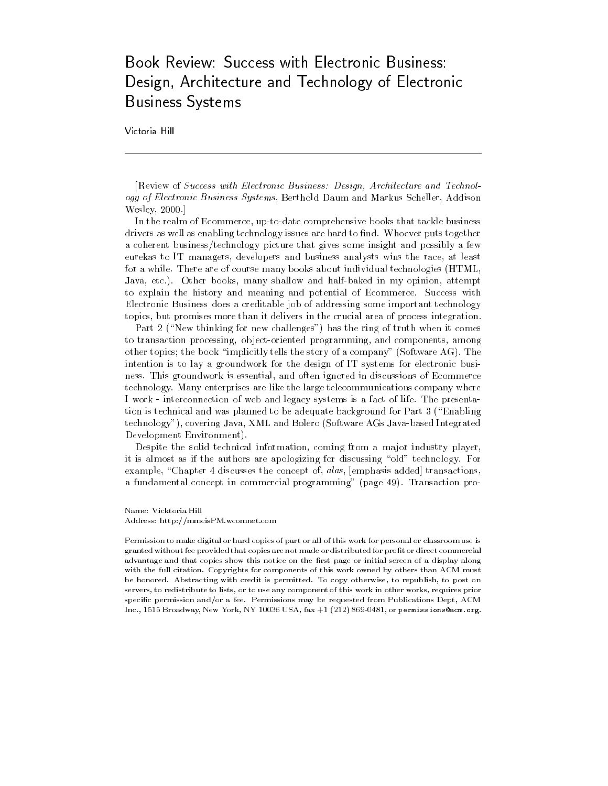## Book Review: Success with Electronic Business: Design, Architecture and Technology of Electronic Business Systems

Victoria Hill

[Review of Success with Electronic Business: Design, Architecture and Technology of Electronic Business Systems, Berthold Daum and Markus Scheller, Addison Wesley, 2000.]

In the realm of Ecommerce, up-to-date comprehensive books that tackle business drivers as well as enabling technology issues are hard to find. Whoever puts together a coherent business/technology picture that gives some insight and possibly a few eurekas to IT managers, developers and business analysts wins the race, at least for a while. There are of course many books about individual technologies (HTML, Java, etc.). Other books, many shallow and half-baked in my opinion, attempt to explain the history and meaning and potential of Ecommerce. Success with Electronic Business does a creditable job of addressing some important technology topics, but promises more than it delivers in the crucial area of process integration.

Part 2 ("New thinking for new challenges") has the ring of truth when it comes to transaction processing, object-oriented programming, and components, among other topics; the book \implicitly tells the story of a company" (Software AG). The intention is to lay a groundwork for the design of IT systems for electronic business. This groundwork is essential, and often ignored in discussions of Ecommerce technology. Many enterprises are like the large telecommunications company where I work - interconnection of web and legacy systems is a fact of life. The presentation is technical and was planned to be adequate background for Part 3 (\Enabling technology"), covering Java, XML and Bolero (Software AGs Java-based Integrated Development Environment).

Despite the solid technical information, coming from a major industry player, it is almost as if the authors are apologizing for discussing "old" technology. For example, "Chapter 4 discusses the concept of, alas, [emphasis added] transactions, a fundamental concept in commercial programming" (page 49). Transaction pro-

Name: Vicktoria Hill Address: http://mmcisPM.wcomnet.com

Permission to make digital or hard copies of part or all of this work for personal or classroom use is granted without fee provided that copies are not made or distributed for profit or direct commercial advantage and that copies show this notice on the first page or initial screen of a display along with the full citation. Copyrights for components of this work owned by others than ACM must be honored. Abstracting with credit is permitted. To copy otherwise, to republish, to post on servers, to redistribute to lists, or to use any component of this work in other works, requires prior specic permission and/or a fee. Permissions may be requested from Publications Dept, ACM Inc., 1515 Broadway, New York, NY 10036 USA, fax +1 (212) 869-0481, or permissions@acm.org.